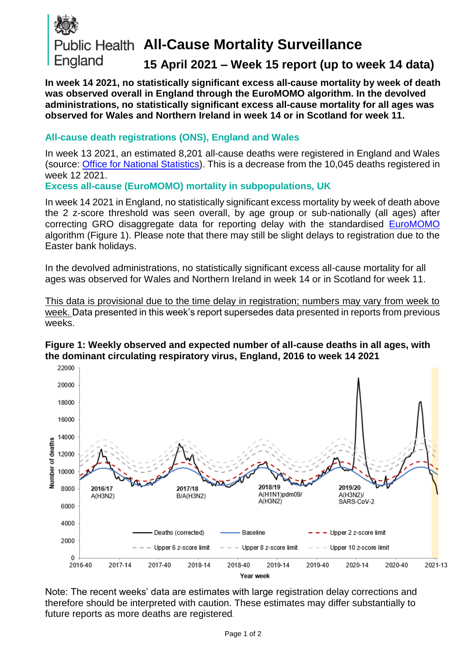

# **Public Health All-Cause Mortality Surveillance**

## **15 April 2021 – Week 15 report (up to week 14 data)**

**In week 14 2021, no statistically significant excess all-cause mortality by week of death was observed overall in England through the EuroMOMO algorithm. In the devolved administrations, no statistically significant excess all-cause mortality for all ages was observed for Wales and Northern Ireland in week 14 or in Scotland for week 11.**

#### **All-cause death registrations (ONS), England and Wales**

In week 13 2021, an estimated 8,201 all-cause deaths were registered in England and Wales (source: [Office for National Statistics\)](http://www.ons.gov.uk/peoplepopulationandcommunity/birthsdeathsandmarriages/deaths/datasets/weeklyprovisionalfiguresondeathsregisteredinenglandandwales). This is a decrease from the 10,045 deaths registered in week 12 2021.

**Excess all-cause (EuroMOMO) mortality in subpopulations, UK**

In week 14 2021 in England, no statistically significant excess mortality by week of death above the 2 z-score threshold was seen overall, by age group or sub-nationally (all ages) after correcting GRO disaggregate data for reporting delay with the standardised [EuroMOMO](http://www.euromomo.eu/) algorithm (Figure 1). Please note that there may still be slight delays to registration due to the Easter bank holidays.

In the devolved administrations, no statistically significant excess all-cause mortality for all ages was observed for Wales and Northern Ireland in week 14 or in Scotland for week 11.

This data is provisional due to the time delay in registration; numbers may vary from week to week. Data presented in this week's report supersedes data presented in reports from previous weeks.





Note: The recent weeks' data are estimates with large registration delay corrections and therefore should be interpreted with caution. These estimates may differ substantially to future reports as more deaths are registered*.*